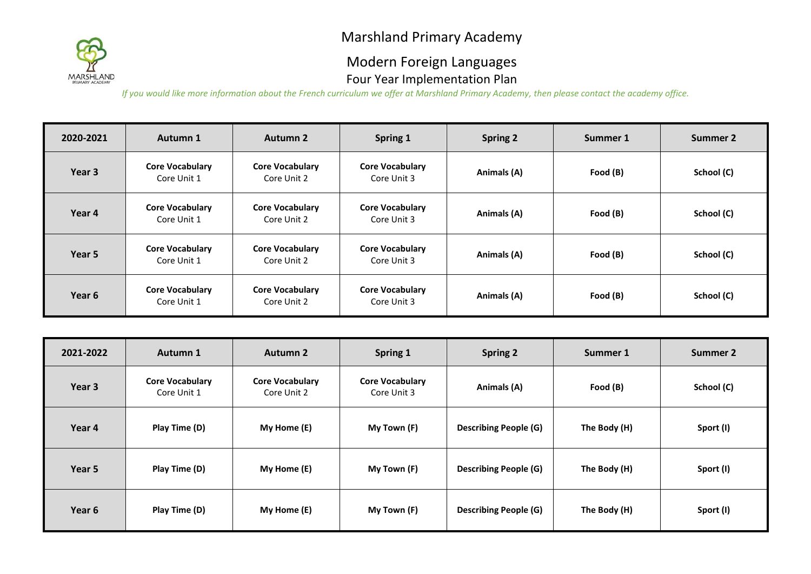

### Modern Foreign Languages Four Year Implementation Plan

| 2020-2021 | Autumn 1                              | <b>Autumn 2</b>                       | Spring 1                              | <b>Spring 2</b> | Summer 1 | Summer 2   |
|-----------|---------------------------------------|---------------------------------------|---------------------------------------|-----------------|----------|------------|
| Year 3    | <b>Core Vocabulary</b><br>Core Unit 1 | <b>Core Vocabulary</b><br>Core Unit 2 | <b>Core Vocabulary</b><br>Core Unit 3 | Animals (A)     | Food (B) | School (C) |
| Year 4    | <b>Core Vocabulary</b><br>Core Unit 1 | <b>Core Vocabulary</b><br>Core Unit 2 | <b>Core Vocabulary</b><br>Core Unit 3 | Animals (A)     | Food (B) | School (C) |
| Year 5    | <b>Core Vocabulary</b><br>Core Unit 1 | <b>Core Vocabulary</b><br>Core Unit 2 | <b>Core Vocabulary</b><br>Core Unit 3 | Animals (A)     | Food (B) | School (C) |
| Year 6    | <b>Core Vocabulary</b><br>Core Unit 1 | <b>Core Vocabulary</b><br>Core Unit 2 | <b>Core Vocabulary</b><br>Core Unit 3 | Animals (A)     | Food (B) | School (C) |

| 2021-2022 | Autumn 1                              | Autumn 2                              | Spring 1                              | <b>Spring 2</b>              | Summer 1     | Summer 2   |
|-----------|---------------------------------------|---------------------------------------|---------------------------------------|------------------------------|--------------|------------|
| Year 3    | <b>Core Vocabulary</b><br>Core Unit 1 | <b>Core Vocabulary</b><br>Core Unit 2 | <b>Core Vocabulary</b><br>Core Unit 3 | Animals (A)                  | Food (B)     | School (C) |
| Year 4    | Play Time (D)                         | My Home (E)                           | My Town (F)                           | <b>Describing People (G)</b> | The Body (H) | Sport (I)  |
| Year 5    | Play Time (D)                         | My Home (E)                           | My Town (F)                           | <b>Describing People (G)</b> | The Body (H) | Sport (I)  |
| Year 6    | Play Time (D)                         | My Home (E)                           | My Town (F)                           | <b>Describing People (G)</b> | The Body (H) | Sport (I)  |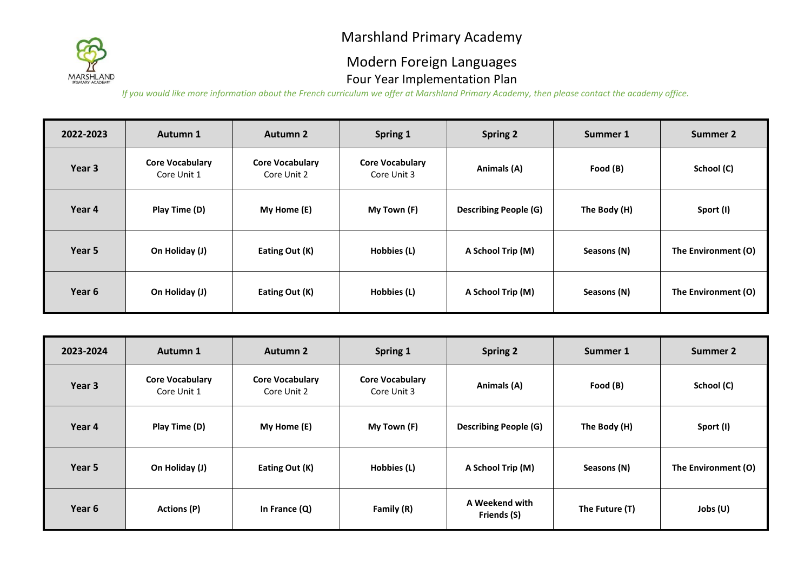

### Modern Foreign Languages Four Year Implementation Plan

| 2022-2023 | Autumn 1                              | <b>Autumn 2</b>                       | Spring 1                              | <b>Spring 2</b>              | Summer 1     | Summer 2            |
|-----------|---------------------------------------|---------------------------------------|---------------------------------------|------------------------------|--------------|---------------------|
| Year 3    | <b>Core Vocabulary</b><br>Core Unit 1 | <b>Core Vocabulary</b><br>Core Unit 2 | <b>Core Vocabulary</b><br>Core Unit 3 | Animals (A)                  | Food (B)     | School (C)          |
| Year 4    | Play Time (D)                         | My Home (E)                           | My Town (F)                           | <b>Describing People (G)</b> | The Body (H) | Sport (I)           |
| Year 5    | On Holiday (J)                        | Eating Out (K)                        | Hobbies (L)                           | A School Trip (M)            | Seasons (N)  | The Environment (O) |
| Year 6    | On Holiday (J)                        | Eating Out (K)                        | Hobbies (L)                           | A School Trip (M)            | Seasons (N)  | The Environment (O) |

| 2023-2024 | Autumn 1                              | <b>Autumn 2</b>                       | Spring 1                              | <b>Spring 2</b>               | Summer 1       | Summer 2            |
|-----------|---------------------------------------|---------------------------------------|---------------------------------------|-------------------------------|----------------|---------------------|
| Year 3    | <b>Core Vocabulary</b><br>Core Unit 1 | <b>Core Vocabulary</b><br>Core Unit 2 | <b>Core Vocabulary</b><br>Core Unit 3 | Animals (A)                   | Food (B)       | School (C)          |
| Year 4    | Play Time (D)                         | My Home (E)                           | My Town (F)                           | <b>Describing People (G)</b>  | The Body (H)   | Sport (I)           |
| Year 5    | On Holiday (J)                        | Eating Out (K)                        | Hobbies (L)                           | A School Trip (M)             | Seasons (N)    | The Environment (O) |
| Year 6    | <b>Actions (P)</b>                    | In France (Q)                         | Family (R)                            | A Weekend with<br>Friends (S) | The Future (T) | Jobs $(U)$          |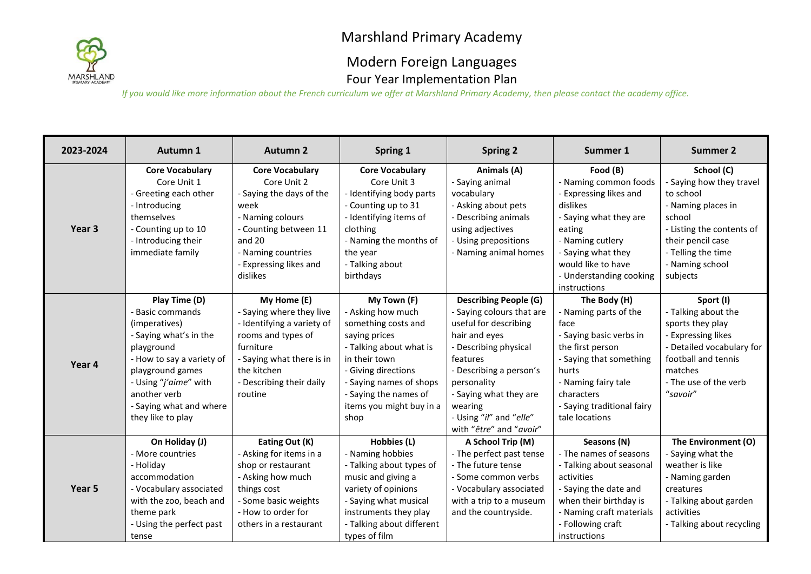

### Modern Foreign Languages Four Year Implementation Plan

| 2023-2024 | Autumn 1                  | <b>Autumn 2</b>            | Spring 1                  | <b>Spring 2</b>              | Summer 1                   | <b>Summer 2</b>           |
|-----------|---------------------------|----------------------------|---------------------------|------------------------------|----------------------------|---------------------------|
|           | <b>Core Vocabulary</b>    | <b>Core Vocabulary</b>     | <b>Core Vocabulary</b>    | Animals (A)                  | Food (B)                   | School (C)                |
|           | Core Unit 1               | Core Unit 2                | Core Unit 3               | - Saying animal              | - Naming common foods      | - Saying how they travel  |
|           | - Greeting each other     | - Saying the days of the   | - Identifying body parts  | vocabulary                   | - Expressing likes and     | to school                 |
|           | - Introducing             | week                       | - Counting up to 31       | - Asking about pets          | dislikes                   | - Naming places in        |
|           | themselves                | - Naming colours           | - Identifying items of    | - Describing animals         | - Saying what they are     | school                    |
| Year 3    | - Counting up to 10       | - Counting between 11      | clothing                  | using adjectives             | eating                     | - Listing the contents of |
|           | - Introducing their       | and 20                     | - Naming the months of    | - Using prepositions         | - Naming cutlery           | their pencil case         |
|           | immediate family          | - Naming countries         | the year                  | - Naming animal homes        | - Saying what they         | - Telling the time        |
|           |                           | - Expressing likes and     | - Talking about           |                              | would like to have         | - Naming school           |
|           |                           | dislikes                   | birthdays                 |                              | - Understanding cooking    | subjects                  |
|           |                           |                            |                           |                              | instructions               |                           |
|           | Play Time (D)             | My Home (E)                | My Town (F)               | <b>Describing People (G)</b> | The Body (H)               | Sport (I)                 |
|           | - Basic commands          | - Saying where they live   | - Asking how much         | - Saying colours that are    | - Naming parts of the      | - Talking about the       |
|           | (imperatives)             | - Identifying a variety of | something costs and       | useful for describing        | face                       | sports they play          |
|           | - Saying what's in the    | rooms and types of         | saying prices             | hair and eyes                | - Saying basic verbs in    | - Expressing likes        |
|           | playground                | furniture                  | - Talking about what is   | - Describing physical        | the first person           | - Detailed vocabulary for |
| Year 4    | - How to say a variety of | - Saying what there is in  | in their town             | features                     | - Saying that something    | football and tennis       |
|           | playground games          | the kitchen                | - Giving directions       | - Describing a person's      | hurts                      | matches                   |
|           | - Using "j'aime" with     | - Describing their daily   | - Saying names of shops   | personality                  | - Naming fairy tale        | - The use of the verb     |
|           | another verb              | routine                    | - Saying the names of     | - Saying what they are       | characters                 | "savoir"                  |
|           | - Saying what and where   |                            | items you might buy in a  | wearing                      | - Saying traditional fairy |                           |
|           | they like to play         |                            | shop                      | - Using "il" and "elle"      | tale locations             |                           |
|           |                           |                            |                           | with "être" and "avoir"      |                            |                           |
|           | On Holiday (J)            | Eating Out (K)             | Hobbies (L)               | A School Trip (M)            | Seasons (N)                | The Environment (O)       |
|           | - More countries          | - Asking for items in a    | - Naming hobbies          | - The perfect past tense     | - The names of seasons     | - Saying what the         |
|           | - Holiday                 | shop or restaurant         | - Talking about types of  | - The future tense           | - Talking about seasonal   | weather is like           |
|           | accommodation             | - Asking how much          | music and giving a        | - Some common verbs          | activities                 | - Naming garden           |
| Year 5    | - Vocabulary associated   | things cost                | variety of opinions       | - Vocabulary associated      | - Saying the date and      | creatures                 |
|           | with the zoo, beach and   | - Some basic weights       | - Saying what musical     | with a trip to a museum      | when their birthday is     | - Talking about garden    |
|           | theme park                | - How to order for         | instruments they play     | and the countryside.         | - Naming craft materials   | activities                |
|           | - Using the perfect past  | others in a restaurant     | - Talking about different |                              | - Following craft          | - Talking about recycling |
|           | tense                     |                            | types of film             |                              | instructions               |                           |